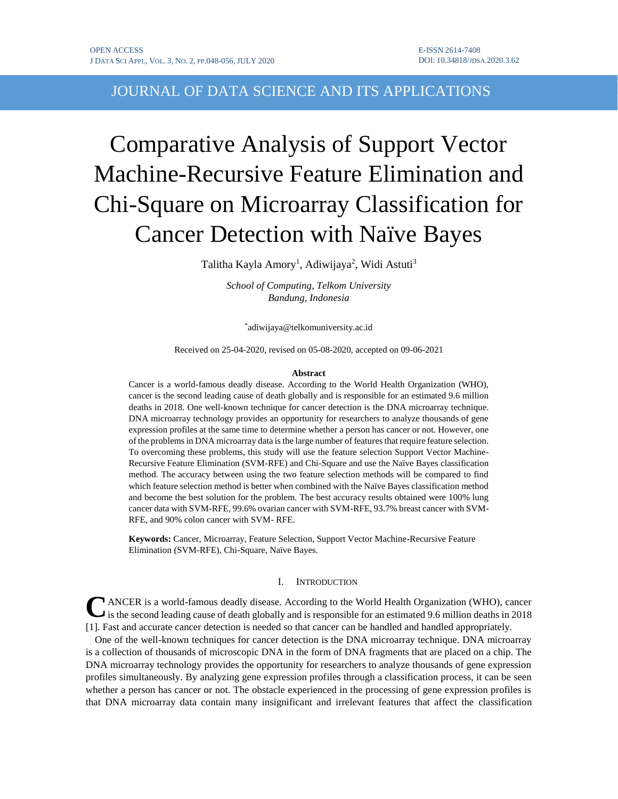JOURNAL OF DATA SCIENCE AND ITS APPLICATIONS

# Comparative Analysis of Support Vector Machine-Recursive Feature Elimination and Chi-Square on Microarray Classification for Cancer Detection with Naïve Bayes

Talitha Kayla Amory<sup>1</sup>, Adiwijaya<sup>2</sup>, Widi Astuti<sup>3</sup>

*School of Computing, Telkom University Bandung, Indonesia*

\* adiwijaya@telkomuniversity.ac.id

Received on 25-04-2020, revised on 05-08-2020, accepted on 09-06-2021

#### **Abstract**

Cancer is a world-famous deadly disease. According to the World Health Organization (WHO), cancer is the second leading cause of death globally and is responsible for an estimated 9.6 million deaths in 2018. One well-known technique for cancer detection is the DNA microarray technique. DNA microarray technology provides an opportunity for researchers to analyze thousands of gene expression profiles at the same time to determine whether a person has cancer or not. However, one of the problems in DNA microarray data is the large number of features that require feature selection. To overcoming these problems, this study will use the feature selection Support Vector Machine-Recursive Feature Elimination (SVM-RFE) and Chi-Square and use the Naïve Bayes classification method. The accuracy between using the two feature selection methods will be compared to find which feature selection method is better when combined with the Naïve Bayes classification method and become the best solution for the problem. The best accuracy results obtained were 100% lung cancer data with SVM-RFE, 99.6% ovarian cancer with SVM-RFE, 93.7% breast cancer with SVM-RFE, and 90% colon cancer with SVM- RFE.

**Keywords:** Cancer, Microarray, Feature Selection, Support Vector Machine-Recursive Feature Elimination (SVM-RFE), Chi-Square, Naïve Bayes.

# I. INTRODUCTION

CANCER is a world-famous deadly disease. According to the World Health Organization (WHO), cancer is the second leading cause of death globally and is responsible for an estimated 9.6 million deaths in 2018 is the second leading cause of death globally and is responsible for an estimated 9.6 million deaths in 2018 [1]. Fast and accurate cancer detection is needed so that cancer can be handled and handled appropriately.

One of the well-known techniques for cancer detection is the DNA microarray technique. DNA microarray is a collection of thousands of microscopic DNA in the form of DNA fragments that are placed on a chip. The DNA microarray technology provides the opportunity for researchers to analyze thousands of gene expression profiles simultaneously. By analyzing gene expression profiles through a classification process, it can be seen whether a person has cancer or not. The obstacle experienced in the processing of gene expression profiles is that DNA microarray data contain many insignificant and irrelevant features that affect the classification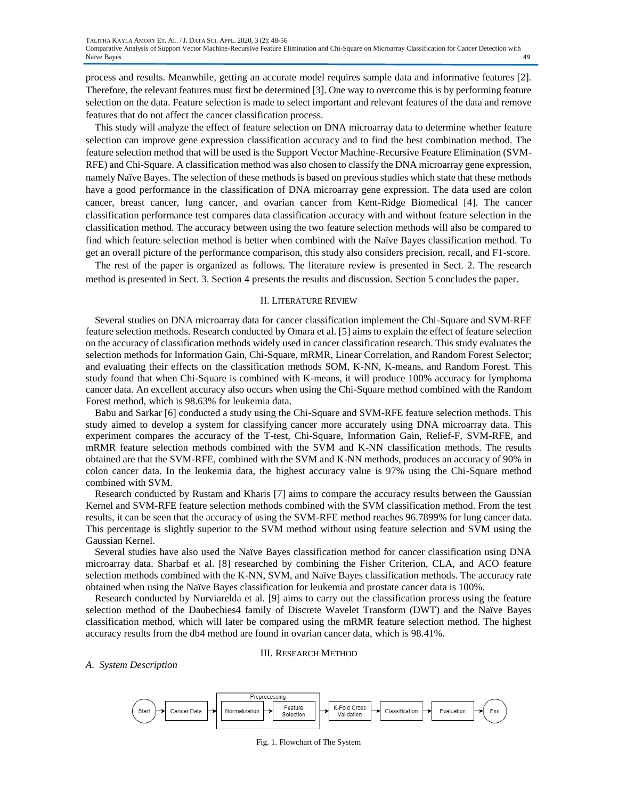process and results. Meanwhile, getting an accurate model requires sample data and informative features [2]. Therefore, the relevant features must first be determined [3]. One way to overcome this is by performing feature selection on the data. Feature selection is made to select important and relevant features of the data and remove features that do not affect the cancer classification process.

This study will analyze the effect of feature selection on DNA microarray data to determine whether feature selection can improve gene expression classification accuracy and to find the best combination method. The feature selection method that will be used is the Support Vector Machine-Recursive Feature Elimination (SVM-RFE) and Chi-Square. A classification method was also chosen to classify the DNA microarray gene expression, namely Naïve Bayes. The selection of these methods is based on previous studies which state that these methods have a good performance in the classification of DNA microarray gene expression. The data used are colon cancer, breast cancer, lung cancer, and ovarian cancer from Kent-Ridge Biomedical [4]. The cancer classification performance test compares data classification accuracy with and without feature selection in the classification method. The accuracy between using the two feature selection methods will also be compared to find which feature selection method is better when combined with the Naïve Bayes classification method. To get an overall picture of the performance comparison, this study also considers precision, recall, and F1-score.

The rest of the paper is organized as follows. The literature review is presented in Sect. 2. The research method is presented in Sect. 3. Section 4 presents the results and discussion. Section 5 concludes the paper.

### II. LITERATURE REVIEW

Several studies on DNA microarray data for cancer classification implement the Chi-Square and SVM-RFE feature selection methods. Research conducted by Omara et al. [5] aims to explain the effect of feature selection on the accuracy of classification methods widely used in cancer classification research. This study evaluates the selection methods for Information Gain, Chi-Square, mRMR, Linear Correlation, and Random Forest Selector; and evaluating their effects on the classification methods SOM, K-NN, K-means, and Random Forest. This study found that when Chi-Square is combined with K-means, it will produce 100% accuracy for lymphoma cancer data. An excellent accuracy also occurs when using the Chi-Square method combined with the Random Forest method, which is 98.63% for leukemia data.

Babu and Sarkar [6] conducted a study using the Chi-Square and SVM-RFE feature selection methods. This study aimed to develop a system for classifying cancer more accurately using DNA microarray data. This experiment compares the accuracy of the T-test, Chi-Square, Information Gain, Relief-F, SVM-RFE, and mRMR feature selection methods combined with the SVM and K-NN classification methods. The results obtained are that the SVM-RFE, combined with the SVM and K-NN methods, produces an accuracy of 90% in colon cancer data. In the leukemia data, the highest accuracy value is 97% using the Chi-Square method combined with SVM.

Research conducted by Rustam and Kharis [7] aims to compare the accuracy results between the Gaussian Kernel and SVM-RFE feature selection methods combined with the SVM classification method. From the test results, it can be seen that the accuracy of using the SVM-RFE method reaches 96.7899% for lung cancer data. This percentage is slightly superior to the SVM method without using feature selection and SVM using the Gaussian Kernel.

Several studies have also used the Naïve Bayes classification method for cancer classification using DNA microarray data. Sharbaf et al. [8] researched by combining the Fisher Criterion, CLA, and ACO feature selection methods combined with the K-NN, SVM, and Naïve Bayes classification methods. The accuracy rate obtained when using the Naïve Bayes classification for leukemia and prostate cancer data is 100%.

Research conducted by Nurviarelda et al. [9] aims to carry out the classification process using the feature selection method of the Daubechies4 family of Discrete Wavelet Transform (DWT) and the Naïve Bayes classification method, which will later be compared using the mRMR feature selection method. The highest accuracy results from the db4 method are found in ovarian cancer data, which is 98.41%.

#### III. RESEARCH METHOD

#### *A. System Description*



Fig. 1. Flowchart of The System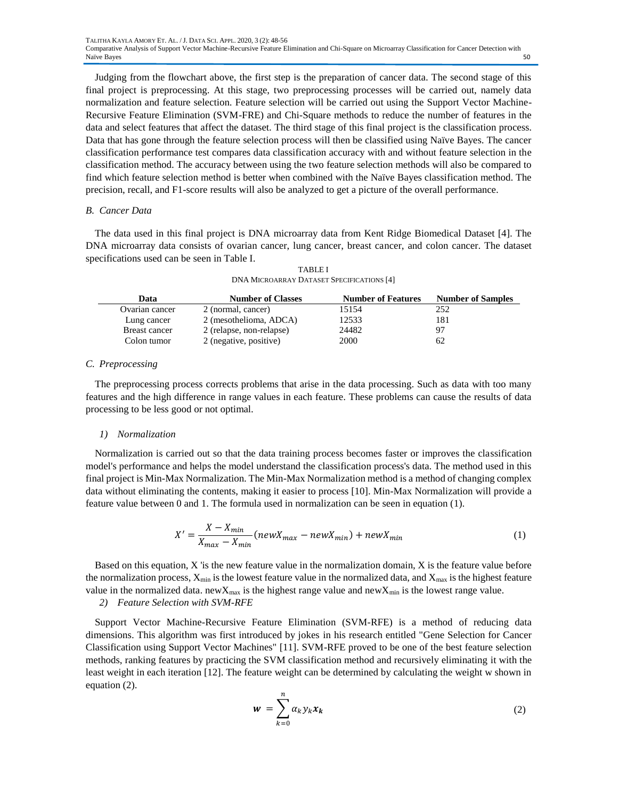Judging from the flowchart above, the first step is the preparation of cancer data. The second stage of this final project is preprocessing. At this stage, two preprocessing processes will be carried out, namely data normalization and feature selection. Feature selection will be carried out using the Support Vector Machine-Recursive Feature Elimination (SVM-FRE) and Chi-Square methods to reduce the number of features in the data and select features that affect the dataset. The third stage of this final project is the classification process. Data that has gone through the feature selection process will then be classified using Naïve Bayes. The cancer classification performance test compares data classification accuracy with and without feature selection in the classification method. The accuracy between using the two feature selection methods will also be compared to find which feature selection method is better when combined with the Naïve Bayes classification method. The precision, recall, and F1-score results will also be analyzed to get a picture of the overall performance.

# *B. Cancer Data*

The data used in this final project is DNA microarray data from Kent Ridge Biomedical Dataset [4]. The DNA microarray data consists of ovarian cancer, lung cancer, breast cancer, and colon cancer. The dataset specifications used can be seen in Table I.

TABLE I DNA MICROARRAY DATASET SPECIFICATIONS [4]

| Data           | <b>Number of Classes</b> | <b>Number of Features</b> | <b>Number of Samples</b> |
|----------------|--------------------------|---------------------------|--------------------------|
| Ovarian cancer | 2 (normal, cancer)       | 15154                     | 252                      |
| Lung cancer    | 2 (mesothelioma, ADCA)   | 12533                     | 181                      |
| Breast cancer  | 2 (relapse, non-relapse) | 24482                     | 97                       |
| Colon tumor    | 2 (negative, positive)   | 2000                      | 62                       |

## *C. Preprocessing*

The preprocessing process corrects problems that arise in the data processing. Such as data with too many features and the high difference in range values in each feature. These problems can cause the results of data processing to be less good or not optimal.

#### *1) Normalization*

Normalization is carried out so that the data training process becomes faster or improves the classification model's performance and helps the model understand the classification process's data. The method used in this final project is Min-Max Normalization. The Min-Max Normalization method is a method of changing complex data without eliminating the contents, making it easier to process [10]. Min-Max Normalization will provide a feature value between 0 and 1. The formula used in normalization can be seen in equation (1).

$$
X' = \frac{X - X_{min}}{X_{max} - X_{min}} (newX_{max} - newX_{min}) + newX_{min}
$$
(1)

Based on this equation,  $X$  'is the new feature value in the normalization domain,  $X$  is the feature value before the normalization process,  $X_{\text{min}}$  is the lowest feature value in the normalized data, and  $X_{\text{max}}$  is the highest feature value in the normalized data. new $X_{max}$  is the highest range value and new $X_{min}$  is the lowest range value.

# *2) Feature Selection with SVM-RFE*

Support Vector Machine-Recursive Feature Elimination (SVM-RFE) is a method of reducing data dimensions. This algorithm was first introduced by jokes in his research entitled "Gene Selection for Cancer Classification using Support Vector Machines" [11]. SVM-RFE proved to be one of the best feature selection methods, ranking features by practicing the SVM classification method and recursively eliminating it with the least weight in each iteration [12]. The feature weight can be determined by calculating the weight w shown in equation (2).

$$
w = \sum_{k=0}^{n} \alpha_k y_k x_k \tag{2}
$$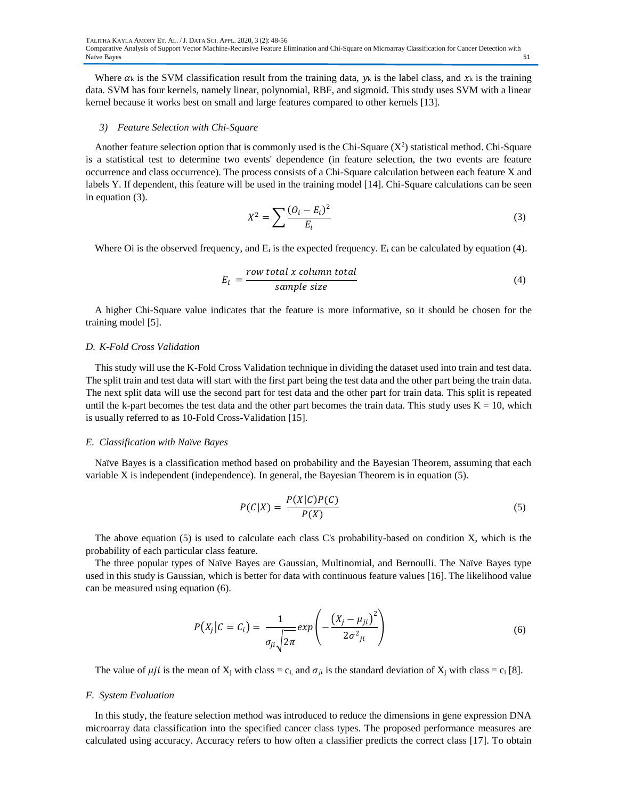Where  $\alpha_k$  is the SVM classification result from the training data,  $y_k$  is the label class, and  $x_k$  is the training data. SVM has four kernels, namely linear, polynomial, RBF, and sigmoid. This study uses SVM with a linear kernel because it works best on small and large features compared to other kernels [13].

#### *3) Feature Selection with Chi-Square*

Another feature selection option that is commonly used is the Chi-Square  $(X^2)$  statistical method. Chi-Square is a statistical test to determine two events' dependence (in feature selection, the two events are feature occurrence and class occurrence). The process consists of a Chi-Square calculation between each feature X and labels Y. If dependent, this feature will be used in the training model [14]. Chi-Square calculations can be seen in equation (3).

$$
X^{2} = \sum \frac{(O_{i} - E_{i})^{2}}{E_{i}} \tag{3}
$$

Where Oi is the observed frequency, and  $E_i$  is the expected frequency.  $E_i$  can be calculated by equation (4).

$$
E_i = \frac{row total x column total}{sample size}
$$
 (4)

A higher Chi-Square value indicates that the feature is more informative, so it should be chosen for the training model [5].

## *D. K-Fold Cross Validation*

This study will use the K-Fold Cross Validation technique in dividing the dataset used into train and test data. The split train and test data will start with the first part being the test data and the other part being the train data. The next split data will use the second part for test data and the other part for train data. This split is repeated until the k-part becomes the test data and the other part becomes the train data. This study uses  $K = 10$ , which is usually referred to as 10-Fold Cross-Validation [15].

#### *E. Classification with Naïve Bayes*

Naïve Bayes is a classification method based on probability and the Bayesian Theorem, assuming that each variable X is independent (independence). In general, the Bayesian Theorem is in equation (5).

$$
P(C|X) = \frac{P(X|C)P(C)}{P(X)}
$$
\n<sup>(5)</sup>

The above equation (5) is used to calculate each class C's probability-based on condition X, which is the probability of each particular class feature.

The three popular types of Naïve Bayes are Gaussian, Multinomial, and Bernoulli. The Naïve Bayes type used in this study is Gaussian, which is better for data with continuous feature values [16]. The likelihood value can be measured using equation (6).

$$
P(X_j|C = C_i) = \frac{1}{\sigma_{ji}\sqrt{2\pi}}exp\left(-\frac{(X_j - \mu_{ji})^2}{2\sigma_{ji}^2}\right)
$$
(6)

The value of  $\mu j i$  is the mean of  $X_i$  with class = c<sub>i</sub>, and  $\sigma_{ji}$  is the standard deviation of  $X_i$  with class = c<sub>i</sub> [8].

#### *F. System Evaluation*

In this study, the feature selection method was introduced to reduce the dimensions in gene expression DNA microarray data classification into the specified cancer class types. The proposed performance measures are calculated using accuracy. Accuracy refers to how often a classifier predicts the correct class [17]. To obtain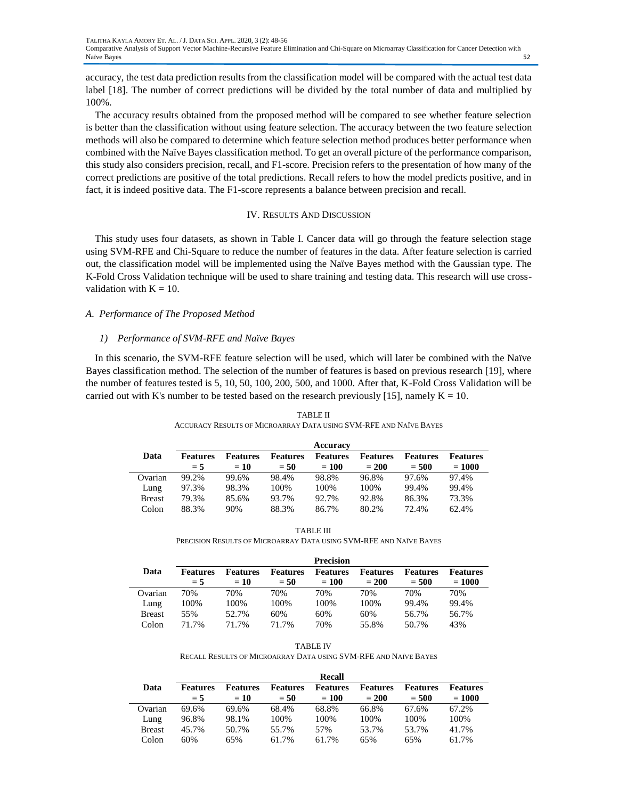accuracy, the test data prediction results from the classification model will be compared with the actual test data label [18]. The number of correct predictions will be divided by the total number of data and multiplied by 100%.

The accuracy results obtained from the proposed method will be compared to see whether feature selection is better than the classification without using feature selection. The accuracy between the two feature selection methods will also be compared to determine which feature selection method produces better performance when combined with the Naïve Bayes classification method. To get an overall picture of the performance comparison, this study also considers precision, recall, and F1-score. Precision refers to the presentation of how many of the correct predictions are positive of the total predictions. Recall refers to how the model predicts positive, and in fact, it is indeed positive data. The F1-score represents a balance between precision and recall.

## IV. RESULTS AND DISCUSSION

This study uses four datasets, as shown in Table I. Cancer data will go through the feature selection stage using SVM-RFE and Chi-Square to reduce the number of features in the data. After feature selection is carried out, the classification model will be implemented using the Naïve Bayes method with the Gaussian type. The K-Fold Cross Validation technique will be used to share training and testing data. This research will use crossvalidation with  $K = 10$ .

# *A. Performance of The Proposed Method*

## *1) Performance of SVM-RFE and Naïve Bayes*

In this scenario, the SVM-RFE feature selection will be used, which will later be combined with the Naïve Bayes classification method. The selection of the number of features is based on previous research [19], where the number of features tested is 5, 10, 50, 100, 200, 500, and 1000. After that, K-Fold Cross Validation will be carried out with K's number to be tested based on the research previously [15], namely  $K = 10$ .

|               |                          |                           |                           | Accuracy                   |                            |                            |                             |
|---------------|--------------------------|---------------------------|---------------------------|----------------------------|----------------------------|----------------------------|-----------------------------|
| Data          | <b>Features</b><br>$= 5$ | <b>Features</b><br>$= 10$ | <b>Features</b><br>$= 50$ | <b>Features</b><br>$= 100$ | <b>Features</b><br>$= 200$ | <b>Features</b><br>$= 500$ | <b>Features</b><br>$= 1000$ |
| Ovarian       | 99.2%                    | 99.6%                     | 98.4%                     | 98.8%                      | 96.8%                      | 97.6%                      | 97.4%                       |
| Lung          | 97.3%                    | 98.3%                     | 100%                      | 100%                       | 100%                       | 99.4%                      | 99.4%                       |
| <b>Breast</b> | 79.3%                    | 85.6%                     | 93.7%                     | 92.7%                      | 92.8%                      | 86.3%                      | 73.3%                       |
| Colon         | 88.3%                    | 90%                       | 88.3%                     | 86.7%                      | 80.2%                      | 72.4%                      | 62.4%                       |

TABLE II ACCURACY RESULTS OF MICROARRAY DATA USING SVM-RFE AND NAÏVE BAYES

TABLE III PRECISION RESULTS OF MICROARRAY DATA USING SVM-RFE AND NAÏVE BAYES

|               |                          |                           |                           | <b>Precision</b>           |                            |                            |                             |
|---------------|--------------------------|---------------------------|---------------------------|----------------------------|----------------------------|----------------------------|-----------------------------|
| Data          | <b>Features</b><br>$= 5$ | <b>Features</b><br>$= 10$ | <b>Features</b><br>$= 50$ | <b>Features</b><br>$= 100$ | <b>Features</b><br>$= 200$ | <b>Features</b><br>$= 500$ | <b>Features</b><br>$= 1000$ |
| Ovarian       | 70%                      | 70%                       | 70%                       | 70%                        | 70%                        | 70%                        | 70%                         |
| Lung          | 100%                     | 100%                      | 100%                      | 100%                       | 100%                       | 99.4%                      | 99.4%                       |
| <b>Breast</b> | 55%                      | 52.7%                     | 60%                       | 60%                        | 60%                        | 56.7%                      | 56.7%                       |
| Colon         | 71.7%                    | 71.7%                     | 71.7%                     | 70%                        | 55.8%                      | 50.7%                      | 43%                         |

| <b>TABLE IV</b>                                                 |
|-----------------------------------------------------------------|
| RECALL RESULTS OF MICROARRAY DATA USING SVM-RFE AND NAÏVE BAYES |

|               |                 |                 |                 | <b>Recall</b>   |                 |                 |                 |
|---------------|-----------------|-----------------|-----------------|-----------------|-----------------|-----------------|-----------------|
| Data          | <b>Features</b> | <b>Features</b> | <b>Features</b> | <b>Features</b> | <b>Features</b> | <b>Features</b> | <b>Features</b> |
|               | $= 5$           | $= 10$          | $= 50$          | $= 100$         | $= 200$         | $= 500$         | $= 1000$        |
| Ovarian       | 69.6%           | 69.6%           | 68.4%           | 68.8%           | 66.8%           | 67.6%           | 67.2%           |
| Lung          | 96.8%           | 98.1%           | 100\%           | 100%            | 100%            | 100%            | 100%            |
| <b>Breast</b> | 45.7%           | 50.7%           | 55.7%           | 57%             | 53.7%           | 53.7%           | 41.7%           |
| Colon         | 60%             | 65%             | 61.7%           | 61.7%           | 65%             | 65%             | 61.7%           |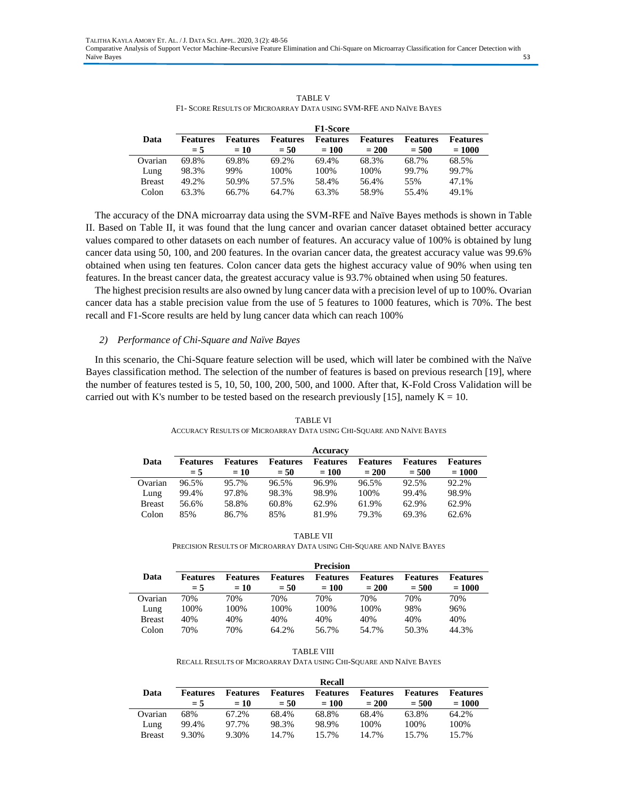|               |                 |                 |                 | <b>F1-Score</b> |                 |                 |                 |
|---------------|-----------------|-----------------|-----------------|-----------------|-----------------|-----------------|-----------------|
| Data          | <b>Features</b> | <b>Features</b> | <b>Features</b> | <b>Features</b> | <b>Features</b> | <b>Features</b> | <b>Features</b> |
|               | $= 5$           | $= 10$          | $= 50$          | $= 100$         | $= 200$         | $= 500$         | $= 1000$        |
| Ovarian       | 69.8%           | 69.8%           | 69.2%           | 69.4%           | 68.3%           | 68.7%           | 68.5%           |
| Lung          | 98.3%           | 99%             | 100\%           | 100\%           | 100%            | 99.7%           | 99.7%           |
| <b>Breast</b> | 49.2%           | 50.9%           | 57.5%           | 58.4%           | 56.4%           | 55%             | 47.1%           |
| Colon         | 63.3%           | 66.7%           | 64.7%           | 63.3%           | 58.9%           | 55.4%           | 49.1%           |

TABLE V F1- SCORE RESULTS OF MICROARRAY DATA USING SVM-RFE AND NAÏVE BAYES

The accuracy of the DNA microarray data using the SVM-RFE and Naïve Bayes methods is shown in Table II. Based on Table II, it was found that the lung cancer and ovarian cancer dataset obtained better accuracy values compared to other datasets on each number of features. An accuracy value of 100% is obtained by lung cancer data using 50, 100, and 200 features. In the ovarian cancer data, the greatest accuracy value was 99.6% obtained when using ten features. Colon cancer data gets the highest accuracy value of 90% when using ten features. In the breast cancer data, the greatest accuracy value is 93.7% obtained when using 50 features.

The highest precision results are also owned by lung cancer data with a precision level of up to 100%. Ovarian cancer data has a stable precision value from the use of 5 features to 1000 features, which is 70%. The best recall and F1-Score results are held by lung cancer data which can reach 100%

## *2) Performance of Chi-Square and Naïve Bayes*

In this scenario, the Chi-Square feature selection will be used, which will later be combined with the Naïve Bayes classification method. The selection of the number of features is based on previous research [19], where the number of features tested is 5, 10, 50, 100, 200, 500, and 1000. After that, K-Fold Cross Validation will be carried out with K's number to be tested based on the research previously [15], namely  $K = 10$ .

|               |                          |                          |                           | Accuracy                   |                            |                            |                             |
|---------------|--------------------------|--------------------------|---------------------------|----------------------------|----------------------------|----------------------------|-----------------------------|
| Data          | <b>Features</b><br>$= 5$ | <b>Features</b><br>$=10$ | <b>Features</b><br>$= 50$ | <b>Features</b><br>$= 100$ | <b>Features</b><br>$= 200$ | <b>Features</b><br>$= 500$ | <b>Features</b><br>$= 1000$ |
| Ovarian       | 96.5%                    | 95.7%                    | 96.5%                     | 96.9%                      | 96.5%                      | 92.5%                      | 92.2%                       |
| Lung          | 99.4%                    | 97.8%                    | 98.3%                     | 98.9%                      | 100%                       | 99.4%                      | 98.9%                       |
| <b>Breast</b> | 56.6%                    | 58.8%                    | 60.8%                     | 62.9%                      | 61.9%                      | 62.9%                      | 62.9%                       |
| Colon         | 85%                      | 86.7%                    | 85%                       | 81.9%                      | 79.3%                      | 69.3%                      | 62.6%                       |

TABLE VI ACCURACY RESULTS OF MICROARRAY DATA USING CHI-SQUARE AND NAÏVE BAYES

TABLE VII PRECISION RESULTS OF MICROARRAY DATA USING CHI-SQUARE AND NAÏVE BAYES

|               |                 |                 |                 | <b>Precision</b> |                 |                 |                 |
|---------------|-----------------|-----------------|-----------------|------------------|-----------------|-----------------|-----------------|
| Data          | <b>Features</b> | <b>Features</b> | <b>Features</b> | <b>Features</b>  | <b>Features</b> | <b>Features</b> | <b>Features</b> |
|               | $= 5$           | $= 10$          | $= 50$          | $= 100$          | $= 200$         | $= 500$         | $= 1000$        |
| Ovarian       | 70%             | 70%             | 70%             | 70%              | 70%             | 70%             | 70%             |
| Lung          | 100%            | 100%            | 100%            | 100%             | 100%            | 98%             | 96%             |
| <b>Breast</b> | 40%             | 40%             | 40%             | 40%              | 40%             | 40%             | 40%             |
| Colon         | 70%             | 70%             | 64.2%           | 56.7%            | 54.7%           | 50.3%           | 44.3%           |

TABLE VIII RECALL RESULTS OF MICROARRAY DATA USING CHI-SQUARE AND NAÏVE BAYES

|               |                          |                           |                           | <b>Recall</b>       |                            |                            |                             |
|---------------|--------------------------|---------------------------|---------------------------|---------------------|----------------------------|----------------------------|-----------------------------|
| Data          | <b>Features</b><br>$= 5$ | <b>Features</b><br>$= 10$ | <b>Features</b><br>$= 50$ | Features<br>$= 100$ | <b>Features</b><br>$= 200$ | <b>Features</b><br>$= 500$ | <b>Features</b><br>$= 1000$ |
|               |                          |                           |                           |                     |                            |                            |                             |
| Ovarian       | 68%                      | 67.2%                     | 68.4%                     | 68.8%               | 68.4%                      | 63.8%                      | 64.2%                       |
| Lung          | 99.4%                    | 97.7%                     | 98.3%                     | 98.9%               | 100%                       | 100%                       | 100%                        |
| <b>Breast</b> | 9.30%                    | 9.30%                     | 14.7%                     | 15.7%               | 14.7%                      | 15.7%                      | 15.7%                       |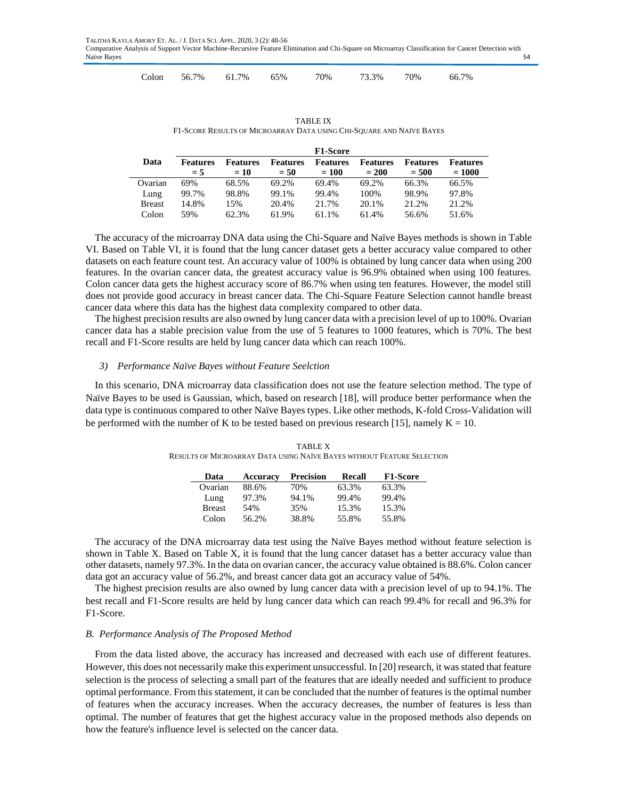|  |  | Colon 56.7% 61.7% 65% 70% 73.3% 70% 66.7% |  |  |
|--|--|-------------------------------------------|--|--|

TABLE IX F1-SCORE RESULTS OF MICROARRAY DATA USING CHI-SQUARE AND NAÏVE BAYES

|               |                          |                          |                           | <b>F1-Score</b>            |                            |                            |                             |
|---------------|--------------------------|--------------------------|---------------------------|----------------------------|----------------------------|----------------------------|-----------------------------|
| Data          | <b>Features</b><br>$= 5$ | <b>Features</b><br>$=10$ | <b>Features</b><br>$= 50$ | <b>Features</b><br>$= 100$ | <b>Features</b><br>$= 200$ | <b>Features</b><br>$= 500$ | <b>Features</b><br>$= 1000$ |
|               |                          |                          |                           |                            |                            |                            |                             |
| Ovarian       | 69%                      | 68.5%                    | 69.2%                     | 69.4%                      | 69.2%                      | 66.3%                      | 66.5%                       |
| Lung          | 99.7%                    | 98.8%                    | 99.1%                     | 99.4%                      | 100%                       | 98.9%                      | 97.8%                       |
| <b>Breast</b> | 14.8%                    | 15%                      | 20.4%                     | 21.7%                      | 20.1%                      | 2.1.2%                     | 21.2%                       |
| Colon         | 59%                      | 62.3%                    | 61.9%                     | 61.1%                      | 61.4%                      | 56.6%                      | 51.6%                       |

The accuracy of the microarray DNA data using the Chi-Square and Naïve Bayes methods is shown in Table VI. Based on Table VI, it is found that the lung cancer dataset gets a better accuracy value compared to other datasets on each feature count test. An accuracy value of 100% is obtained by lung cancer data when using 200 features. In the ovarian cancer data, the greatest accuracy value is 96.9% obtained when using 100 features. Colon cancer data gets the highest accuracy score of 86.7% when using ten features. However, the model still does not provide good accuracy in breast cancer data. The Chi-Square Feature Selection cannot handle breast cancer data where this data has the highest data complexity compared to other data.

The highest precision results are also owned by lung cancer data with a precision level of up to 100%. Ovarian cancer data has a stable precision value from the use of 5 features to 1000 features, which is 70%. The best recall and F1-Score results are held by lung cancer data which can reach 100%.

## *3) Performance Naïve Bayes without Feature Seelction*

In this scenario, DNA microarray data classification does not use the feature selection method. The type of Naïve Bayes to be used is Gaussian, which, based on research [18], will produce better performance when the data type is continuous compared to other Naïve Bayes types. Like other methods, K-fold Cross-Validation will be performed with the number of K to be tested based on previous research [15], namely  $K = 10$ .

| <b>TABLE X</b>                                                         |
|------------------------------------------------------------------------|
| RESULTS OF MICROARRAY DATA USING NAÏVE BAYES WITHOUT FEATURE SELECTION |

| Data          | Accuracy | <b>Precision</b> | <b>Recall</b> | <b>F1-Score</b> |
|---------------|----------|------------------|---------------|-----------------|
| Ovarian       | 88.6%    | 70%              | 63.3%         | 63.3%           |
| Lung          | 97.3%    | 94.1%            | 99.4%         | 99.4%           |
| <b>Breast</b> | 54%      | 35%              | 15.3%         | 15.3%           |
| Colon         | 56.2%    | 38.8%            | 55.8%         | 55.8%           |

The accuracy of the DNA microarray data test using the Naïve Bayes method without feature selection is shown in Table X. Based on Table X, it is found that the lung cancer dataset has a better accuracy value than other datasets, namely 97.3%. In the data on ovarian cancer, the accuracy value obtained is 88.6%. Colon cancer data got an accuracy value of 56.2%, and breast cancer data got an accuracy value of 54%.

The highest precision results are also owned by lung cancer data with a precision level of up to 94.1%. The best recall and F1-Score results are held by lung cancer data which can reach 99.4% for recall and 96.3% for F1-Score.

# *B. Performance Analysis of The Proposed Method*

From the data listed above, the accuracy has increased and decreased with each use of different features. However, this does not necessarily make this experiment unsuccessful. In [20] research, it was stated that feature selection is the process of selecting a small part of the features that are ideally needed and sufficient to produce optimal performance. From this statement, it can be concluded that the number of features is the optimal number of features when the accuracy increases. When the accuracy decreases, the number of features is less than optimal. The number of features that get the highest accuracy value in the proposed methods also depends on how the feature's influence level is selected on the cancer data.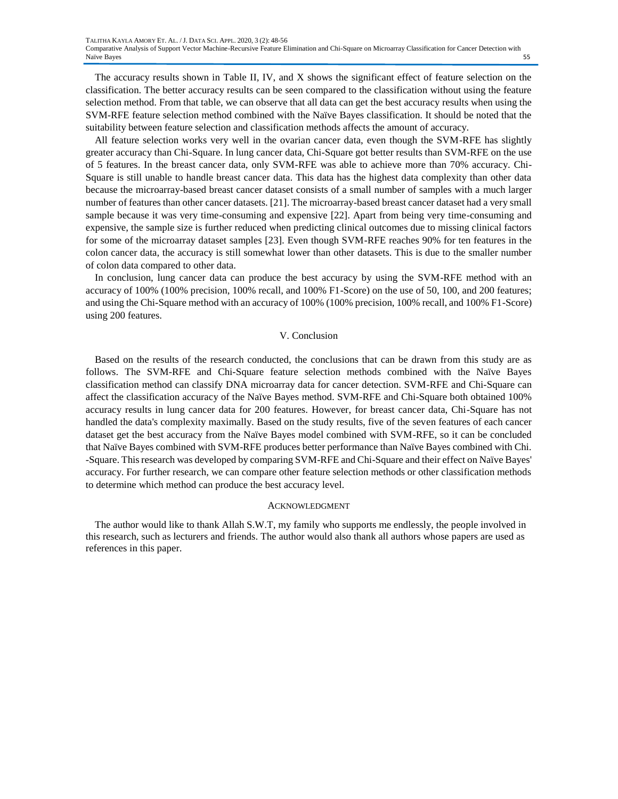The accuracy results shown in Table II, IV, and X shows the significant effect of feature selection on the classification. The better accuracy results can be seen compared to the classification without using the feature selection method. From that table, we can observe that all data can get the best accuracy results when using the SVM-RFE feature selection method combined with the Naïve Bayes classification. It should be noted that the suitability between feature selection and classification methods affects the amount of accuracy.

All feature selection works very well in the ovarian cancer data, even though the SVM-RFE has slightly greater accuracy than Chi-Square. In lung cancer data, Chi-Square got better results than SVM-RFE on the use of 5 features. In the breast cancer data, only SVM-RFE was able to achieve more than 70% accuracy. Chi-Square is still unable to handle breast cancer data. This data has the highest data complexity than other data because the microarray-based breast cancer dataset consists of a small number of samples with a much larger number of features than other cancer datasets. [21]. The microarray-based breast cancer dataset had a very small sample because it was very time-consuming and expensive [22]. Apart from being very time-consuming and expensive, the sample size is further reduced when predicting clinical outcomes due to missing clinical factors for some of the microarray dataset samples [23]. Even though SVM-RFE reaches 90% for ten features in the colon cancer data, the accuracy is still somewhat lower than other datasets. This is due to the smaller number of colon data compared to other data.

In conclusion, lung cancer data can produce the best accuracy by using the SVM-RFE method with an accuracy of 100% (100% precision, 100% recall, and 100% F1-Score) on the use of 50, 100, and 200 features; and using the Chi-Square method with an accuracy of 100% (100% precision, 100% recall, and 100% F1-Score) using 200 features.

#### V. Conclusion

Based on the results of the research conducted, the conclusions that can be drawn from this study are as follows. The SVM-RFE and Chi-Square feature selection methods combined with the Naïve Bayes classification method can classify DNA microarray data for cancer detection. SVM-RFE and Chi-Square can affect the classification accuracy of the Naïve Bayes method. SVM-RFE and Chi-Square both obtained 100% accuracy results in lung cancer data for 200 features. However, for breast cancer data, Chi-Square has not handled the data's complexity maximally. Based on the study results, five of the seven features of each cancer dataset get the best accuracy from the Naïve Bayes model combined with SVM-RFE, so it can be concluded that Naïve Bayes combined with SVM-RFE produces better performance than Naïve Bayes combined with Chi. -Square. This research was developed by comparing SVM-RFE and Chi-Square and their effect on Naïve Bayes' accuracy. For further research, we can compare other feature selection methods or other classification methods to determine which method can produce the best accuracy level.

#### ACKNOWLEDGMENT

The author would like to thank Allah S.W.T, my family who supports me endlessly, the people involved in this research, such as lecturers and friends. The author would also thank all authors whose papers are used as references in this paper.